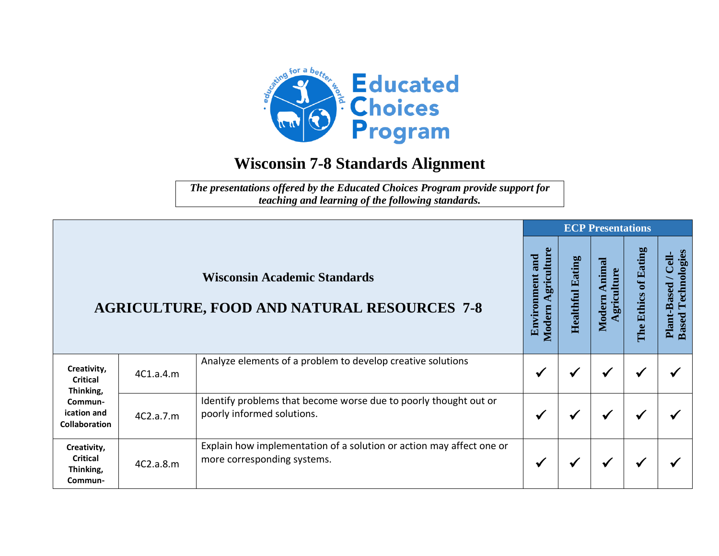

## **Wisconsin 7-8 Standards Alignment**

*The presentations offered by the Educated Choices Program provide support for teaching and learning of the following standards.*

|                                                                                        |                                                                                           |                                                                                                     |              |   | <b>ECP Presentations</b>       |                      |                                                      |
|----------------------------------------------------------------------------------------|-------------------------------------------------------------------------------------------|-----------------------------------------------------------------------------------------------------|--------------|---|--------------------------------|----------------------|------------------------------------------------------|
|                                                                                        | <b>Wisconsin Academic Standards</b><br><b>AGRICULTURE, FOOD AND NATURAL RESOURCES 7-8</b> |                                                                                                     |              |   | Animal<br>griculture<br>Modern | The Ethics of Eating | Technologies<br>Cell-<br>Plant-Based<br><b>Based</b> |
| Creativity,<br>Critical<br>Thinking,<br>Commun-<br>ication and<br><b>Collaboration</b> | 4C1.a.4.m                                                                                 | Analyze elements of a problem to develop creative solutions                                         | $\checkmark$ | √ | ✔                              | $\checkmark$         |                                                      |
|                                                                                        | 4C2.a.7.m                                                                                 | Identify problems that become worse due to poorly thought out or<br>poorly informed solutions.      | ✔            | √ | √                              | √                    |                                                      |
| Creativity,<br><b>Critical</b><br>Thinking,<br>Commun-                                 | 4C2.a.8.m                                                                                 | Explain how implementation of a solution or action may affect one or<br>more corresponding systems. | ✔            |   | $\checkmark$                   | ✔                    |                                                      |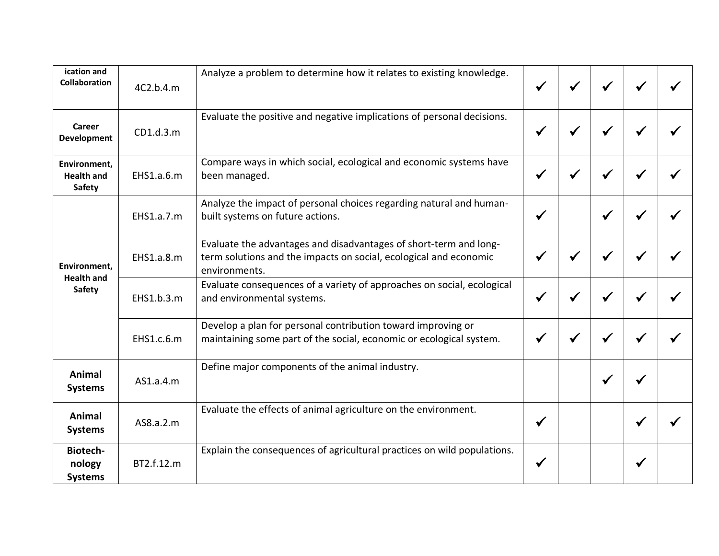| ication and<br><b>Collaboration</b>                | 4C2.b.4.m  | Analyze a problem to determine how it relates to existing knowledge.                                                                                    |              |   |              |   |  |
|----------------------------------------------------|------------|---------------------------------------------------------------------------------------------------------------------------------------------------------|--------------|---|--------------|---|--|
| Career<br><b>Development</b>                       | CD1.d.3.m  | Evaluate the positive and negative implications of personal decisions.                                                                                  |              |   |              |   |  |
| Environment,<br><b>Health and</b><br><b>Safety</b> | EHS1.a.6.m | Compare ways in which social, ecological and economic systems have<br>been managed.                                                                     |              | √ | $\checkmark$ |   |  |
| Environment,                                       | EHS1.a.7.m | Analyze the impact of personal choices regarding natural and human-<br>built systems on future actions.                                                 |              |   |              |   |  |
|                                                    | EHS1.a.8.m | Evaluate the advantages and disadvantages of short-term and long-<br>term solutions and the impacts on social, ecological and economic<br>environments. |              | ₩ | ✔            | ₩ |  |
| <b>Health and</b><br><b>Safety</b>                 | EHS1.b.3.m | Evaluate consequences of a variety of approaches on social, ecological<br>and environmental systems.                                                    |              | ✔ |              |   |  |
|                                                    | EHS1.c.6.m | Develop a plan for personal contribution toward improving or<br>maintaining some part of the social, economic or ecological system.                     |              | √ | $\checkmark$ | √ |  |
| Animal<br><b>Systems</b>                           | AS1.a.4.m  | Define major components of the animal industry.                                                                                                         |              |   | √            |   |  |
| Animal<br><b>Systems</b>                           | AS8.a.2.m  | Evaluate the effects of animal agriculture on the environment.                                                                                          | $\checkmark$ |   |              | ₩ |  |
| <b>Biotech-</b><br>nology<br><b>Systems</b>        | BT2.f.12.m | Explain the consequences of agricultural practices on wild populations.                                                                                 | ✔            |   |              |   |  |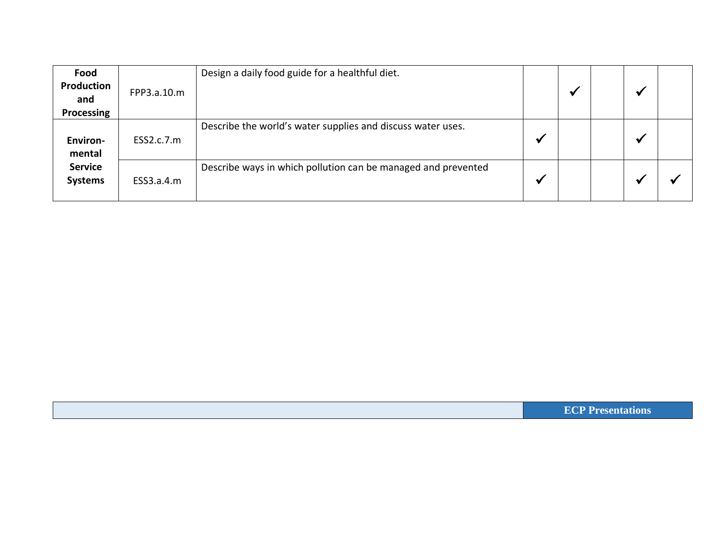| Food<br>Production<br>and<br>Processing | FPP3.a.10.m | Design a daily food guide for a healthful diet.               |                         | $\mathbf{v}$ |  |  |
|-----------------------------------------|-------------|---------------------------------------------------------------|-------------------------|--------------|--|--|
| <b>Environ-</b><br>mental               | ESS2.c.7.m  | Describe the world's water supplies and discuss water uses.   | $\overline{\mathbf{u}}$ |              |  |  |
| <b>Service</b><br><b>Systems</b>        | ESS3.a.4.m  | Describe ways in which pollution can be managed and prevented | ₩                       |              |  |  |

**ECP Presentations**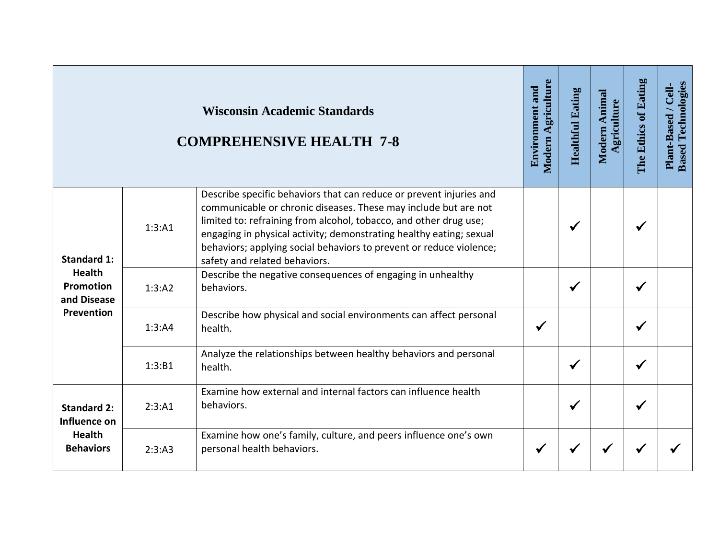|                                                                         |        | <b>Wisconsin Academic Standards</b><br><b>COMPREHENSIVE HEALTH 7-8</b>                                                                                                                                                                                                                                                                                                                     | Modern Agriculture<br><b>Environment and</b> | <b>Healthful Eating</b> | Modern Animal<br>Agriculture | The Ethics of Eating | <b>Based Technologies</b><br>Plant-Based / Cell |
|-------------------------------------------------------------------------|--------|--------------------------------------------------------------------------------------------------------------------------------------------------------------------------------------------------------------------------------------------------------------------------------------------------------------------------------------------------------------------------------------------|----------------------------------------------|-------------------------|------------------------------|----------------------|-------------------------------------------------|
| <b>Standard 1:</b>                                                      | 1:3:A1 | Describe specific behaviors that can reduce or prevent injuries and<br>communicable or chronic diseases. These may include but are not<br>limited to: refraining from alcohol, tobacco, and other drug use;<br>engaging in physical activity; demonstrating healthy eating; sexual<br>behaviors; applying social behaviors to prevent or reduce violence;<br>safety and related behaviors. |                                              | ✔                       |                              |                      |                                                 |
| <b>Health</b><br>Promotion<br>and Disease                               | 1:3:A2 | Describe the negative consequences of engaging in unhealthy<br>behaviors.                                                                                                                                                                                                                                                                                                                  |                                              | $\checkmark$            |                              | √                    |                                                 |
| Prevention                                                              | 1:3:A4 | Describe how physical and social environments can affect personal<br>health.                                                                                                                                                                                                                                                                                                               | $\checkmark$                                 |                         |                              |                      |                                                 |
|                                                                         | 1:3:B1 | Analyze the relationships between healthy behaviors and personal<br>health.                                                                                                                                                                                                                                                                                                                |                                              | ✔                       |                              | ✔                    |                                                 |
| <b>Standard 2:</b><br>Influence on<br><b>Health</b><br><b>Behaviors</b> | 2:3:A1 | Examine how external and internal factors can influence health<br>behaviors.                                                                                                                                                                                                                                                                                                               |                                              | $\checkmark$            |                              | $\checkmark$         |                                                 |
|                                                                         | 2:3:A3 | Examine how one's family, culture, and peers influence one's own<br>personal health behaviors.                                                                                                                                                                                                                                                                                             | √                                            |                         |                              |                      |                                                 |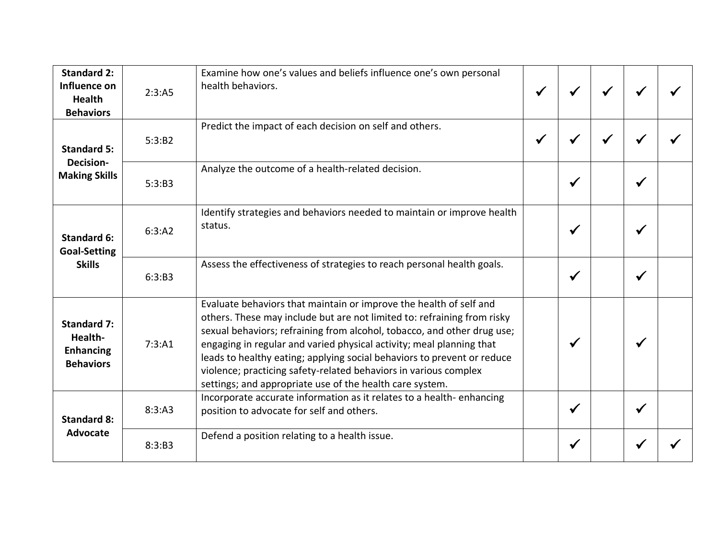| <b>Standard 2:</b><br>Influence on<br><b>Health</b><br><b>Behaviors</b> | 2:3:AB | Examine how one's values and beliefs influence one's own personal<br>health behaviors.                                                                                                                                                                                                                                                                                                                                                                                                                      |              |              |              |  |
|-------------------------------------------------------------------------|--------|-------------------------------------------------------------------------------------------------------------------------------------------------------------------------------------------------------------------------------------------------------------------------------------------------------------------------------------------------------------------------------------------------------------------------------------------------------------------------------------------------------------|--------------|--------------|--------------|--|
| <b>Standard 5:</b><br><b>Decision-</b><br><b>Making Skills</b>          | 5:3:B2 | Predict the impact of each decision on self and others.                                                                                                                                                                                                                                                                                                                                                                                                                                                     | $\checkmark$ |              |              |  |
|                                                                         | 5:3:B3 | Analyze the outcome of a health-related decision.                                                                                                                                                                                                                                                                                                                                                                                                                                                           |              | ✔            | ٠            |  |
| <b>Standard 6:</b><br><b>Goal-Setting</b>                               | 6:3:A2 | Identify strategies and behaviors needed to maintain or improve health<br>status.                                                                                                                                                                                                                                                                                                                                                                                                                           |              | $\checkmark$ |              |  |
| <b>Skills</b>                                                           | 6:3:B3 | Assess the effectiveness of strategies to reach personal health goals.                                                                                                                                                                                                                                                                                                                                                                                                                                      |              | $\checkmark$ |              |  |
| <b>Standard 7:</b><br>Health-<br><b>Enhancing</b><br><b>Behaviors</b>   | 7:3:A1 | Evaluate behaviors that maintain or improve the health of self and<br>others. These may include but are not limited to: refraining from risky<br>sexual behaviors; refraining from alcohol, tobacco, and other drug use;<br>engaging in regular and varied physical activity; meal planning that<br>leads to healthy eating; applying social behaviors to prevent or reduce<br>violence; practicing safety-related behaviors in various complex<br>settings; and appropriate use of the health care system. |              | $\checkmark$ |              |  |
| <b>Standard 8:</b><br>Advocate                                          | 8:3:A3 | Incorporate accurate information as it relates to a health-enhancing<br>position to advocate for self and others.                                                                                                                                                                                                                                                                                                                                                                                           |              | $\checkmark$ | $\checkmark$ |  |
|                                                                         | 8:3:B3 | Defend a position relating to a health issue.                                                                                                                                                                                                                                                                                                                                                                                                                                                               |              |              |              |  |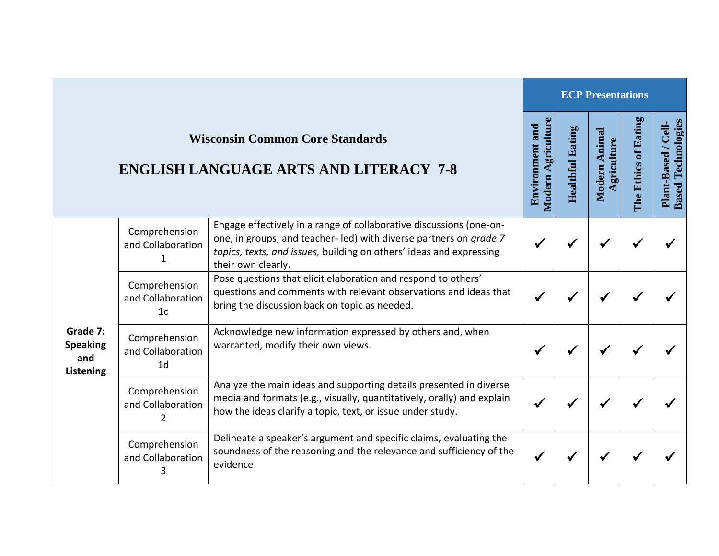|                                                 |                                                      |                                                                                                                                                                                                                                       |                                                     |                         | <b>ECP Presentations</b>       |                      |                                                             |
|-------------------------------------------------|------------------------------------------------------|---------------------------------------------------------------------------------------------------------------------------------------------------------------------------------------------------------------------------------------|-----------------------------------------------------|-------------------------|--------------------------------|----------------------|-------------------------------------------------------------|
|                                                 |                                                      | <b>Wisconsin Common Core Standards</b><br><b>ENGLISH LANGUAGE ARTS AND LITERACY 7-8</b>                                                                                                                                               | <b>Modern Agriculture</b><br><b>Environment and</b> | <b>Healthful Eating</b> | Animal<br>griculture<br>Modern | The Ethics of Eating | <b>Based Technologies</b><br><b>J</b><br>Cel<br>Plant-Based |
|                                                 | Comprehension<br>and Collaboration<br>1              | Engage effectively in a range of collaborative discussions (one-on-<br>one, in groups, and teacher-led) with diverse partners on grade 7<br>topics, texts, and issues, building on others' ideas and expressing<br>their own clearly. |                                                     |                         |                                |                      |                                                             |
|                                                 | Comprehension<br>and Collaboration<br>1 <sub>c</sub> | Pose questions that elicit elaboration and respond to others'<br>questions and comments with relevant observations and ideas that<br>bring the discussion back on topic as needed.                                                    |                                                     |                         |                                |                      |                                                             |
| Grade 7:<br><b>Speaking</b><br>and<br>Listening | Comprehension<br>and Collaboration<br>1 <sub>d</sub> | Acknowledge new information expressed by others and, when<br>warranted, modify their own views.                                                                                                                                       |                                                     |                         |                                |                      |                                                             |
|                                                 | Comprehension<br>and Collaboration<br>$\overline{2}$ | Analyze the main ideas and supporting details presented in diverse<br>media and formats (e.g., visually, quantitatively, orally) and explain<br>how the ideas clarify a topic, text, or issue under study.                            |                                                     |                         |                                |                      |                                                             |
|                                                 | Comprehension<br>and Collaboration                   | Delineate a speaker's argument and specific claims, evaluating the<br>soundness of the reasoning and the relevance and sufficiency of the<br>evidence                                                                                 |                                                     |                         |                                |                      |                                                             |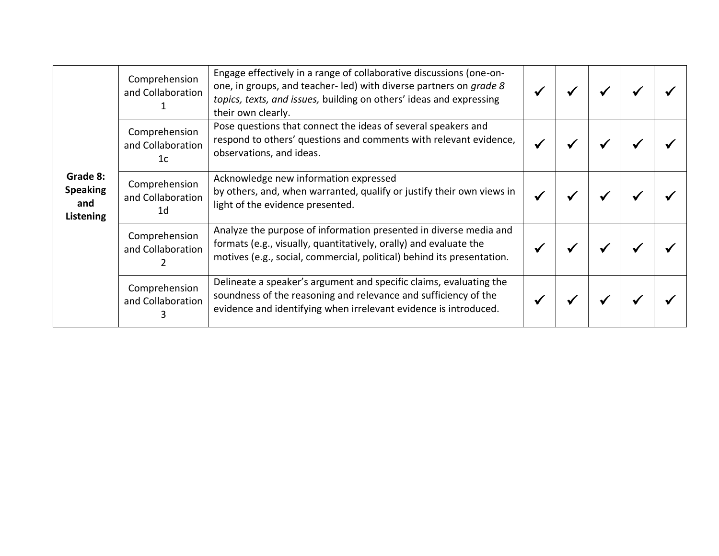|                                                 | Comprehension<br>and Collaboration                   | Engage effectively in a range of collaborative discussions (one-on-<br>one, in groups, and teacher-led) with diverse partners on grade 8<br>topics, texts, and issues, building on others' ideas and expressing<br>their own clearly. |  |  |  |
|-------------------------------------------------|------------------------------------------------------|---------------------------------------------------------------------------------------------------------------------------------------------------------------------------------------------------------------------------------------|--|--|--|
| Grade 8:<br><b>Speaking</b><br>and<br>Listening | Comprehension<br>and Collaboration<br>1 <sub>c</sub> | Pose questions that connect the ideas of several speakers and<br>respond to others' questions and comments with relevant evidence,<br>observations, and ideas.                                                                        |  |  |  |
|                                                 | Comprehension<br>and Collaboration<br>1 <sub>d</sub> | Acknowledge new information expressed<br>by others, and, when warranted, qualify or justify their own views in<br>light of the evidence presented.                                                                                    |  |  |  |
|                                                 | Comprehension<br>and Collaboration                   | Analyze the purpose of information presented in diverse media and<br>formats (e.g., visually, quantitatively, orally) and evaluate the<br>motives (e.g., social, commercial, political) behind its presentation.                      |  |  |  |
|                                                 | Comprehension<br>and Collaboration                   | Delineate a speaker's argument and specific claims, evaluating the<br>soundness of the reasoning and relevance and sufficiency of the<br>evidence and identifying when irrelevant evidence is introduced.                             |  |  |  |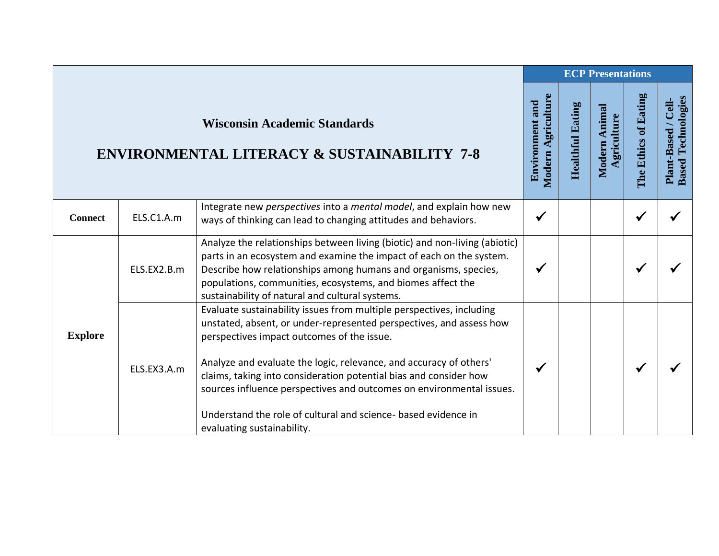|                |             |                                                                                                                                                                                                                                                                                                                                                                                                                                                                                                              | <b>ECP Presentations</b>              |                         |                              |                      |                                                  |  |
|----------------|-------------|--------------------------------------------------------------------------------------------------------------------------------------------------------------------------------------------------------------------------------------------------------------------------------------------------------------------------------------------------------------------------------------------------------------------------------------------------------------------------------------------------------------|---------------------------------------|-------------------------|------------------------------|----------------------|--------------------------------------------------|--|
|                |             | <b>Wisconsin Academic Standards</b><br><b>ENVIRONMENTAL LITERACY &amp; SUSTAINABILITY 7-8</b>                                                                                                                                                                                                                                                                                                                                                                                                                | Modern Agriculture<br>Environment and | <b>Healthful Eating</b> | Modern Animal<br>Agriculture | The Ethics of Eating | <b>Based Technologies</b><br>Plant-Based / Cell- |  |
| <b>Connect</b> | ELS.C1.A.m  | Integrate new perspectives into a mental model, and explain how new<br>ways of thinking can lead to changing attitudes and behaviors.                                                                                                                                                                                                                                                                                                                                                                        | $\checkmark$                          |                         |                              | ✔                    |                                                  |  |
|                | ELS.EX2.B.m | Analyze the relationships between living (biotic) and non-living (abiotic)<br>parts in an ecosystem and examine the impact of each on the system.<br>Describe how relationships among humans and organisms, species,<br>populations, communities, ecosystems, and biomes affect the<br>sustainability of natural and cultural systems.                                                                                                                                                                       | ✔                                     |                         |                              |                      |                                                  |  |
| <b>Explore</b> | ELS.EX3.A.m | Evaluate sustainability issues from multiple perspectives, including<br>unstated, absent, or under-represented perspectives, and assess how<br>perspectives impact outcomes of the issue.<br>Analyze and evaluate the logic, relevance, and accuracy of others'<br>claims, taking into consideration potential bias and consider how<br>sources influence perspectives and outcomes on environmental issues.<br>Understand the role of cultural and science- based evidence in<br>evaluating sustainability. | √                                     |                         |                              |                      |                                                  |  |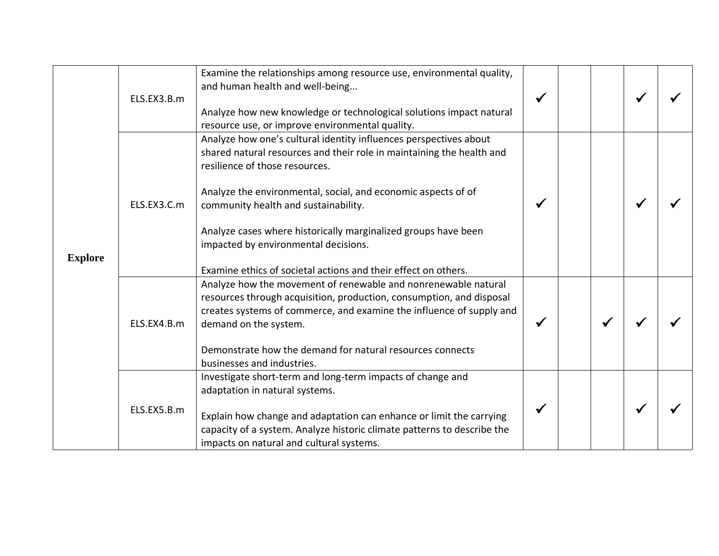|                |             | Examine the relationships among resource use, environmental quality,                                                                                                                                                                                                                                                                                                                            |              |   |  |
|----------------|-------------|-------------------------------------------------------------------------------------------------------------------------------------------------------------------------------------------------------------------------------------------------------------------------------------------------------------------------------------------------------------------------------------------------|--------------|---|--|
|                |             | and human health and well-being                                                                                                                                                                                                                                                                                                                                                                 |              |   |  |
|                | ELS.EX3.B.m |                                                                                                                                                                                                                                                                                                                                                                                                 | $\checkmark$ |   |  |
|                |             | Analyze how new knowledge or technological solutions impact natural<br>resource use, or improve environmental quality.                                                                                                                                                                                                                                                                          |              |   |  |
| <b>Explore</b> | ELS.EX3.C.m | Analyze how one's cultural identity influences perspectives about<br>shared natural resources and their role in maintaining the health and<br>resilience of those resources.<br>Analyze the environmental, social, and economic aspects of of<br>community health and sustainability.<br>Analyze cases where historically marginalized groups have been<br>impacted by environmental decisions. | $\checkmark$ |   |  |
|                |             | Examine ethics of societal actions and their effect on others.                                                                                                                                                                                                                                                                                                                                  |              |   |  |
|                | ELS.EX4.B.m | Analyze how the movement of renewable and nonrenewable natural<br>resources through acquisition, production, consumption, and disposal<br>creates systems of commerce, and examine the influence of supply and<br>demand on the system.                                                                                                                                                         | $\checkmark$ | ✔ |  |
|                |             | Demonstrate how the demand for natural resources connects<br>businesses and industries.                                                                                                                                                                                                                                                                                                         |              |   |  |
|                | ELS.EX5.B.m | Investigate short-term and long-term impacts of change and<br>adaptation in natural systems.<br>Explain how change and adaptation can enhance or limit the carrying<br>capacity of a system. Analyze historic climate patterns to describe the                                                                                                                                                  |              |   |  |
|                |             | impacts on natural and cultural systems.                                                                                                                                                                                                                                                                                                                                                        |              |   |  |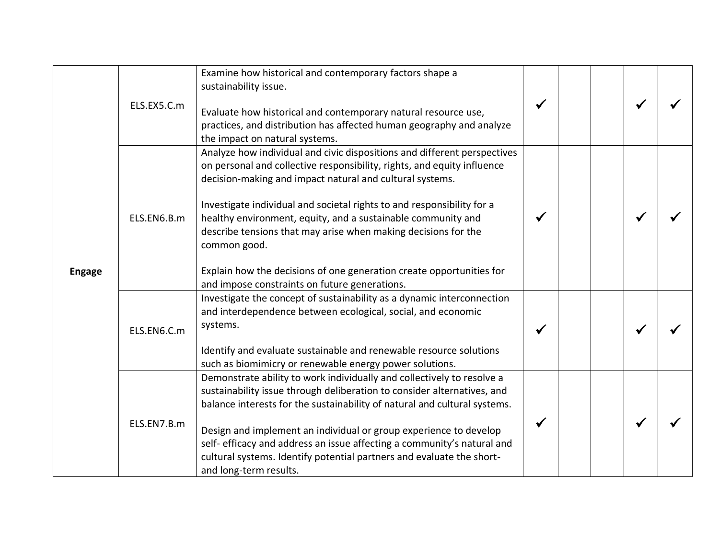|               | ELS.EX5.C.m | Examine how historical and contemporary factors shape a<br>sustainability issue.<br>Evaluate how historical and contemporary natural resource use,<br>practices, and distribution has affected human geography and analyze<br>the impact on natural systems.                                                                                                                                                                                                                                                                                                         | $\checkmark$ |  |  |
|---------------|-------------|----------------------------------------------------------------------------------------------------------------------------------------------------------------------------------------------------------------------------------------------------------------------------------------------------------------------------------------------------------------------------------------------------------------------------------------------------------------------------------------------------------------------------------------------------------------------|--------------|--|--|
| <b>Engage</b> | ELS.EN6.B.m | Analyze how individual and civic dispositions and different perspectives<br>on personal and collective responsibility, rights, and equity influence<br>decision-making and impact natural and cultural systems.<br>Investigate individual and societal rights to and responsibility for a<br>healthy environment, equity, and a sustainable community and<br>describe tensions that may arise when making decisions for the<br>common good.<br>Explain how the decisions of one generation create opportunities for<br>and impose constraints on future generations. |              |  |  |
|               | ELS.EN6.C.m | Investigate the concept of sustainability as a dynamic interconnection<br>and interdependence between ecological, social, and economic<br>systems.<br>Identify and evaluate sustainable and renewable resource solutions<br>such as biomimicry or renewable energy power solutions.                                                                                                                                                                                                                                                                                  | ✔            |  |  |
|               | ELS.EN7.B.m | Demonstrate ability to work individually and collectively to resolve a<br>sustainability issue through deliberation to consider alternatives, and<br>balance interests for the sustainability of natural and cultural systems.<br>Design and implement an individual or group experience to develop<br>self-efficacy and address an issue affecting a community's natural and<br>cultural systems. Identify potential partners and evaluate the short-<br>and long-term results.                                                                                     | $\checkmark$ |  |  |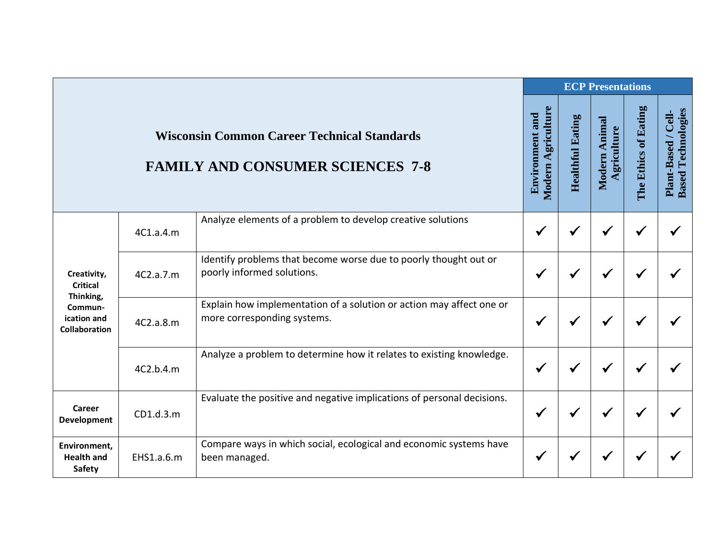|                                                      |            |                                                                                                     |                                              |                         | <b>ECP Presentations</b>     |                      |                                                  |
|------------------------------------------------------|------------|-----------------------------------------------------------------------------------------------------|----------------------------------------------|-------------------------|------------------------------|----------------------|--------------------------------------------------|
|                                                      |            | <b>Wisconsin Common Career Technical Standards</b><br><b>FAMILY AND CONSUMER SCIENCES 7-8</b>       | Modern Agriculture<br><b>Environment and</b> | <b>Healthful Eating</b> | Modern Animal<br>Agriculture | The Ethics of Eating | <b>Based Technologies</b><br>Plant-Based / Cell- |
| Creativity,<br><b>Critical</b>                       | 4C1.a.4.m  | Analyze elements of a problem to develop creative solutions                                         | $\checkmark$                                 | √                       | √                            |                      |                                                  |
|                                                      | 4C2.a.7.m  | Identify problems that become worse due to poorly thought out or<br>poorly informed solutions.      |                                              |                         |                              |                      |                                                  |
| Thinking,<br>Commun-<br>ication and<br>Collaboration | 4C2.a.8.m  | Explain how implementation of a solution or action may affect one or<br>more corresponding systems. | ✔                                            |                         |                              |                      |                                                  |
|                                                      | 4C2.b.4.m  | Analyze a problem to determine how it relates to existing knowledge.                                | $\checkmark$                                 |                         |                              |                      |                                                  |
| Career<br><b>Development</b>                         | CD1.d.3.m  | Evaluate the positive and negative implications of personal decisions.                              | $\checkmark$                                 |                         | √                            |                      |                                                  |
| Environment,<br><b>Health and</b><br><b>Safety</b>   | EHS1.a.6.m | Compare ways in which social, ecological and economic systems have<br>been managed.                 | $\checkmark$                                 |                         |                              |                      |                                                  |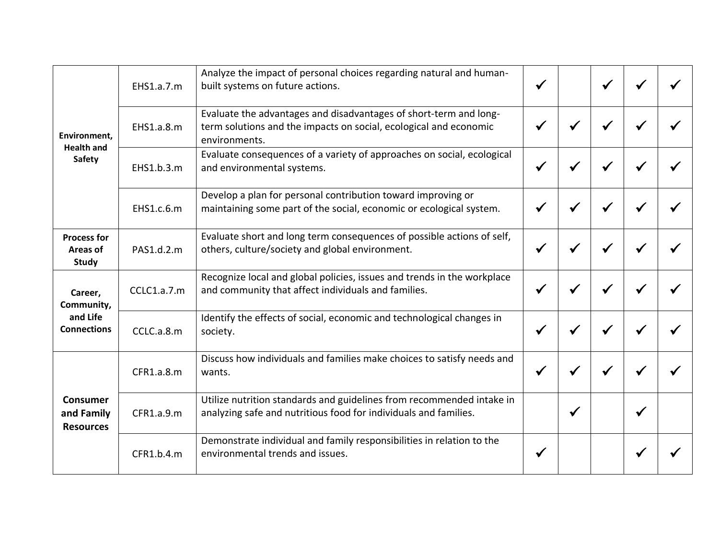|                                                    | EHS1.a.7.m  | Analyze the impact of personal choices regarding natural and human-<br>built systems on future actions.                                                 |              | √            |   |  |
|----------------------------------------------------|-------------|---------------------------------------------------------------------------------------------------------------------------------------------------------|--------------|--------------|---|--|
| Environment,<br><b>Health and</b><br><b>Safety</b> | EHS1.a.8.m  | Evaluate the advantages and disadvantages of short-term and long-<br>term solutions and the impacts on social, ecological and economic<br>environments. | √            | √            | ✔ |  |
|                                                    | EHS1.b.3.m  | Evaluate consequences of a variety of approaches on social, ecological<br>and environmental systems.                                                    | $\checkmark$ | $\checkmark$ | ✔ |  |
|                                                    | EHS1.c.6.m  | Develop a plan for personal contribution toward improving or<br>maintaining some part of the social, economic or ecological system.                     |              | ✔            |   |  |
| <b>Process for</b><br>Areas of<br><b>Study</b>     | PAS1.d.2.m  | Evaluate short and long term consequences of possible actions of self,<br>others, culture/society and global environment.                               | √            | ✔            | ✔ |  |
| Career,<br>Community,                              | CCLC1.a.7.m | Recognize local and global policies, issues and trends in the workplace<br>and community that affect individuals and families.                          |              | √            |   |  |
| and Life<br><b>Connections</b>                     | CCLC.a.8.m  | Identify the effects of social, economic and technological changes in<br>society.                                                                       |              | ✔            |   |  |
| <b>Consumer</b><br>and Family<br><b>Resources</b>  | CFR1.a.8.m  | Discuss how individuals and families make choices to satisfy needs and<br>wants.                                                                        |              |              |   |  |
|                                                    | CFR1.a.9.m  | Utilize nutrition standards and guidelines from recommended intake in<br>analyzing safe and nutritious food for individuals and families.               | $\checkmark$ |              | ✔ |  |
|                                                    | CFR1.b.4.m  | Demonstrate individual and family responsibilities in relation to the<br>environmental trends and issues.                                               |              |              |   |  |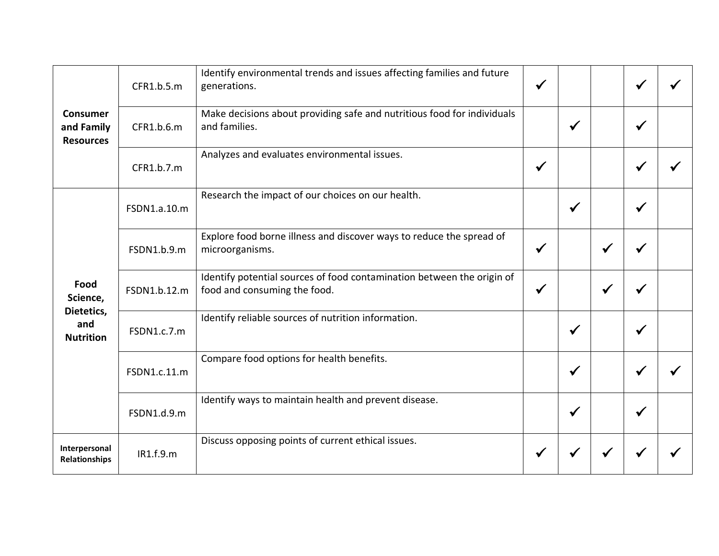| <b>Consumer</b><br>and Family<br><b>Resources</b> | CFR1.b.5.m   | Identify environmental trends and issues affecting families and future<br>generations.                 | $\checkmark$ |              |              |              |  |
|---------------------------------------------------|--------------|--------------------------------------------------------------------------------------------------------|--------------|--------------|--------------|--------------|--|
|                                                   | CFR1.b.6.m   | Make decisions about providing safe and nutritious food for individuals<br>and families.               |              | $\checkmark$ |              | √            |  |
|                                                   | CFR1.b.7.m   | Analyzes and evaluates environmental issues.                                                           | $\checkmark$ |              |              | $\checkmark$ |  |
| Food<br>Science,                                  | FSDN1.a.10.m | Research the impact of our choices on our health.                                                      |              | $\checkmark$ |              | ✔            |  |
|                                                   | FSDN1.b.9.m  | Explore food borne illness and discover ways to reduce the spread of<br>microorganisms.                | $\checkmark$ |              | $\checkmark$ |              |  |
|                                                   | FSDN1.b.12.m | Identify potential sources of food contamination between the origin of<br>food and consuming the food. | $\checkmark$ |              | $\checkmark$ |              |  |
| Dietetics,<br>and<br><b>Nutrition</b>             | FSDN1.c.7.m  | Identify reliable sources of nutrition information.                                                    |              | $\checkmark$ |              | ✔            |  |
|                                                   | FSDN1.c.11.m | Compare food options for health benefits.                                                              |              | $\checkmark$ |              |              |  |
|                                                   | FSDN1.d.9.m  | Identify ways to maintain health and prevent disease.                                                  |              | $\checkmark$ |              |              |  |
| Interpersonal<br><b>Relationships</b>             | IR1.f.9.m    | Discuss opposing points of current ethical issues.                                                     |              |              |              |              |  |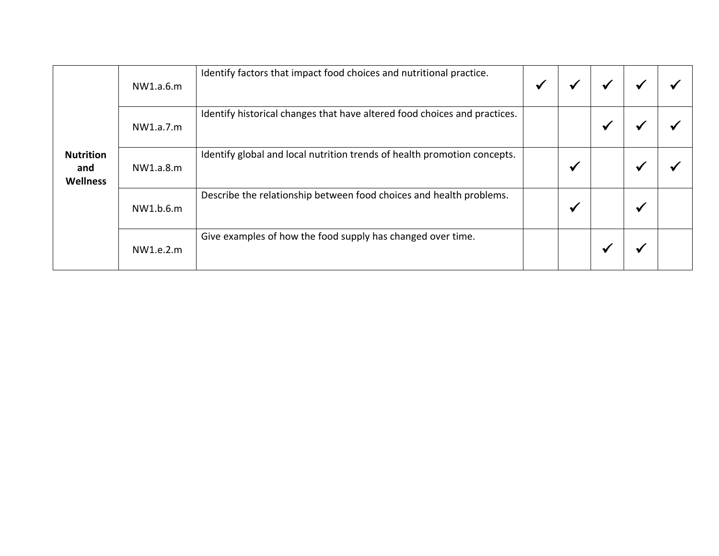| <b>Nutrition</b><br>and<br><b>Wellness</b> | NW1.a.6.m | Identify factors that impact food choices and nutritional practice.       | $\checkmark$ |              |   |  |
|--------------------------------------------|-----------|---------------------------------------------------------------------------|--------------|--------------|---|--|
|                                            | NW1.a.7.m | Identify historical changes that have altered food choices and practices. |              |              |   |  |
|                                            | NW1.a.8.m | Identify global and local nutrition trends of health promotion concepts.  |              | $\checkmark$ | ₩ |  |
|                                            | NW1.b.6.m | Describe the relationship between food choices and health problems.       |              | √            |   |  |
|                                            | NW1.e.2.m | Give examples of how the food supply has changed over time.               |              |              |   |  |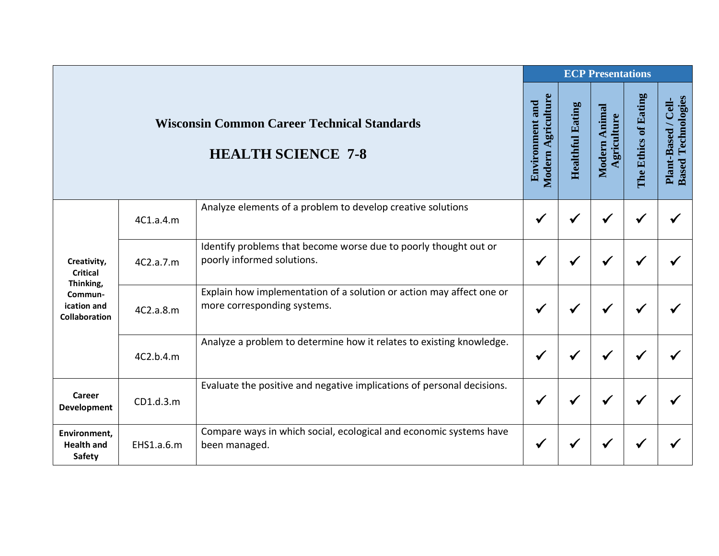|                                                                                               |            |                                                                                                     |                                              | <b>ECP Presentations</b> |                              |                      |                                                  |
|-----------------------------------------------------------------------------------------------|------------|-----------------------------------------------------------------------------------------------------|----------------------------------------------|--------------------------|------------------------------|----------------------|--------------------------------------------------|
|                                                                                               |            | <b>Wisconsin Common Career Technical Standards</b><br><b>HEALTH SCIENCE 7-8</b>                     | Modern Agriculture<br><b>Environment and</b> | <b>Healthful Eating</b>  | Modern Animal<br>Agriculture | The Ethics of Eating | <b>Based Technologies</b><br>Plant-Based / Cell- |
| Creativity,<br><b>Critical</b><br>Thinking,<br>Commun-<br>ication and<br><b>Collaboration</b> | 4C1.a.4.m  | Analyze elements of a problem to develop creative solutions                                         | $\checkmark$                                 | ✔                        |                              |                      |                                                  |
|                                                                                               | 4C2.a.7.m  | Identify problems that become worse due to poorly thought out or<br>poorly informed solutions.      | ✔                                            | ✔                        |                              |                      |                                                  |
|                                                                                               | 4C2.a.8.m  | Explain how implementation of a solution or action may affect one or<br>more corresponding systems. | $\checkmark$                                 | ✔                        |                              |                      |                                                  |
|                                                                                               | 4C2.b.4.m  | Analyze a problem to determine how it relates to existing knowledge.                                | $\checkmark$                                 | √                        |                              |                      |                                                  |
| Career<br>Development                                                                         | CD1.d.3.m  | Evaluate the positive and negative implications of personal decisions.                              | $\checkmark$                                 | ✔                        |                              |                      |                                                  |
| Environment,<br><b>Health and</b><br><b>Safety</b>                                            | EHS1.a.6.m | Compare ways in which social, ecological and economic systems have<br>been managed.                 | $\checkmark$                                 |                          |                              |                      |                                                  |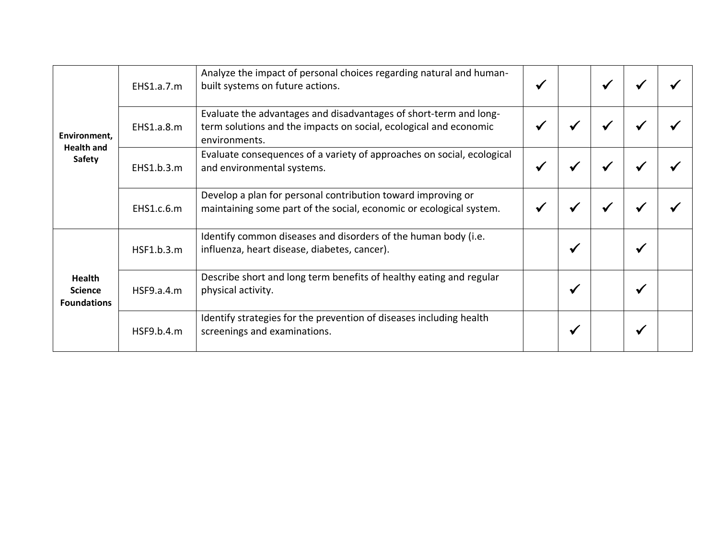| Environment.<br><b>Health and</b><br>Safety    | EHS1.a.7.m | Analyze the impact of personal choices regarding natural and human-<br>built systems on future actions.                                                 | $\blacktriangleright$ |   |   |                       |  |
|------------------------------------------------|------------|---------------------------------------------------------------------------------------------------------------------------------------------------------|-----------------------|---|---|-----------------------|--|
|                                                | EHS1.a.8.m | Evaluate the advantages and disadvantages of short-term and long-<br>term solutions and the impacts on social, ecological and economic<br>environments. | ✔                     |   |   |                       |  |
|                                                | EHS1.b.3.m | Evaluate consequences of a variety of approaches on social, ecological<br>and environmental systems.                                                    | $\checkmark$          | ✔ | √ |                       |  |
|                                                | EHS1.c.6.m | Develop a plan for personal contribution toward improving or<br>maintaining some part of the social, economic or ecological system.                     |                       |   |   |                       |  |
| Health<br><b>Science</b><br><b>Foundations</b> | HSF1.b.3.m | Identify common diseases and disorders of the human body (i.e.<br>influenza, heart disease, diabetes, cancer).                                          |                       | ✔ |   |                       |  |
|                                                | HSF9.a.4.m | Describe short and long term benefits of healthy eating and regular<br>physical activity.                                                               |                       | ✔ |   | $\blacktriangleright$ |  |
|                                                | HSF9.b.4.m | Identify strategies for the prevention of diseases including health<br>screenings and examinations.                                                     |                       |   |   |                       |  |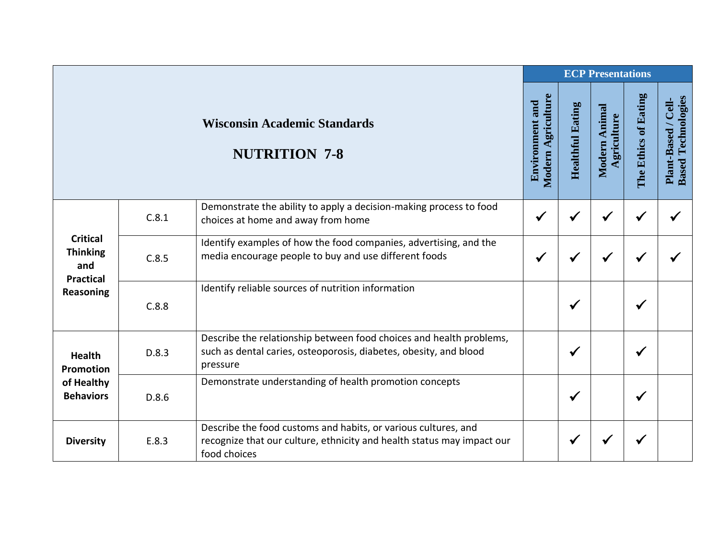|                                                                     |       |                                                                                                                                                          | <b>ECP Presentations</b>                     |                         |                              |                      |                                                  |  |
|---------------------------------------------------------------------|-------|----------------------------------------------------------------------------------------------------------------------------------------------------------|----------------------------------------------|-------------------------|------------------------------|----------------------|--------------------------------------------------|--|
|                                                                     |       | <b>Wisconsin Academic Standards</b><br><b>NUTRITION 7-8</b>                                                                                              | Modern Agriculture<br><b>Environment and</b> | <b>Healthful Eating</b> | Modern Animal<br>Agriculture | The Ethics of Eating | <b>Based Technologies</b><br>Plant-Based / Cell- |  |
| <b>Critical</b><br><b>Thinking</b><br>and                           | C.8.1 | Demonstrate the ability to apply a decision-making process to food<br>choices at home and away from home                                                 | $\checkmark$                                 | ✔                       | $\checkmark$                 |                      |                                                  |  |
|                                                                     | C.8.5 | Identify examples of how the food companies, advertising, and the<br>media encourage people to buy and use different foods                               | $\checkmark$                                 | $\checkmark$            | $\checkmark$                 |                      |                                                  |  |
| <b>Practical</b><br><b>Reasoning</b>                                | C.8.8 | Identify reliable sources of nutrition information                                                                                                       |                                              | $\checkmark$            |                              | ✔                    |                                                  |  |
| <b>Health</b><br><b>Promotion</b><br>of Healthy<br><b>Behaviors</b> | D.8.3 | Describe the relationship between food choices and health problems,<br>such as dental caries, osteoporosis, diabetes, obesity, and blood<br>pressure     |                                              | ✔                       |                              | ✔                    |                                                  |  |
|                                                                     | D.8.6 | Demonstrate understanding of health promotion concepts                                                                                                   |                                              | $\checkmark$            |                              | ✔                    |                                                  |  |
| <b>Diversity</b>                                                    | E.8.3 | Describe the food customs and habits, or various cultures, and<br>recognize that our culture, ethnicity and health status may impact our<br>food choices |                                              | ✔                       |                              |                      |                                                  |  |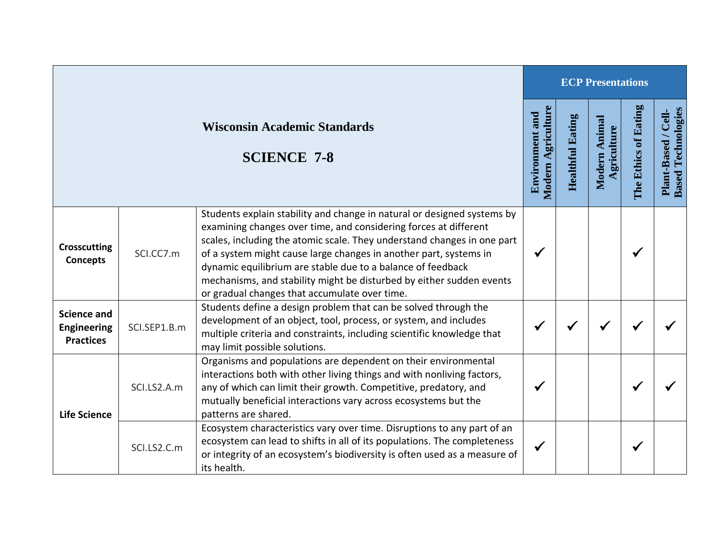|                                                              |              |                                                                                                                                                                                                                                                                                                                                                                                                                                                                                     | <b>ECP Presentations</b>                            |                         |                                |                      |                                                  |  |
|--------------------------------------------------------------|--------------|-------------------------------------------------------------------------------------------------------------------------------------------------------------------------------------------------------------------------------------------------------------------------------------------------------------------------------------------------------------------------------------------------------------------------------------------------------------------------------------|-----------------------------------------------------|-------------------------|--------------------------------|----------------------|--------------------------------------------------|--|
|                                                              |              | <b>Wisconsin Academic Standards</b><br><b>SCIENCE 7-8</b>                                                                                                                                                                                                                                                                                                                                                                                                                           | <b>Modern Agriculture</b><br><b>Environment and</b> | <b>Healthful Eating</b> | Animal<br>griculture<br>Modern | The Ethics of Eating | <b>Based Technologies</b><br>Plant-Based / Cell- |  |
| <b>Crosscutting</b><br><b>Concepts</b>                       | SCI.CC7.m    | Students explain stability and change in natural or designed systems by<br>examining changes over time, and considering forces at different<br>scales, including the atomic scale. They understand changes in one part<br>of a system might cause large changes in another part, systems in<br>dynamic equilibrium are stable due to a balance of feedback<br>mechanisms, and stability might be disturbed by either sudden events<br>or gradual changes that accumulate over time. |                                                     |                         |                                | ✔                    |                                                  |  |
| <b>Science and</b><br><b>Engineering</b><br><b>Practices</b> | SCI.SEP1.B.m | Students define a design problem that can be solved through the<br>development of an object, tool, process, or system, and includes<br>multiple criteria and constraints, including scientific knowledge that<br>may limit possible solutions.                                                                                                                                                                                                                                      |                                                     |                         |                                |                      |                                                  |  |
| <b>Life Science</b>                                          | SCI.LS2.A.m  | Organisms and populations are dependent on their environmental<br>interactions both with other living things and with nonliving factors,<br>any of which can limit their growth. Competitive, predatory, and<br>mutually beneficial interactions vary across ecosystems but the<br>patterns are shared.                                                                                                                                                                             |                                                     |                         |                                | ✔                    |                                                  |  |
|                                                              | SCI.LS2.C.m  | Ecosystem characteristics vary over time. Disruptions to any part of an<br>ecosystem can lead to shifts in all of its populations. The completeness<br>or integrity of an ecosystem's biodiversity is often used as a measure of<br>its health.                                                                                                                                                                                                                                     |                                                     |                         |                                | ✔                    |                                                  |  |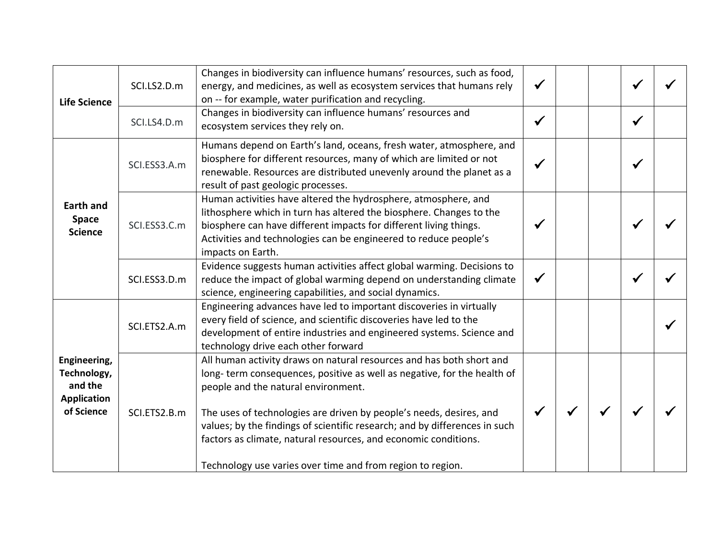| <b>Life Science</b>                                                        | SCI.LS2.D.m  | Changes in biodiversity can influence humans' resources, such as food,<br>energy, and medicines, as well as ecosystem services that humans rely<br>on -- for example, water purification and recycling.                                                                                                                                                                                                                                                                      | $\checkmark$ |  |              |  |
|----------------------------------------------------------------------------|--------------|------------------------------------------------------------------------------------------------------------------------------------------------------------------------------------------------------------------------------------------------------------------------------------------------------------------------------------------------------------------------------------------------------------------------------------------------------------------------------|--------------|--|--------------|--|
|                                                                            | SCI.LS4.D.m  | Changes in biodiversity can influence humans' resources and<br>ecosystem services they rely on.                                                                                                                                                                                                                                                                                                                                                                              | $\checkmark$ |  | $\checkmark$ |  |
| <b>Earth and</b><br><b>Space</b><br><b>Science</b>                         | SCI.ESS3.A.m | Humans depend on Earth's land, oceans, fresh water, atmosphere, and<br>biosphere for different resources, many of which are limited or not<br>renewable. Resources are distributed unevenly around the planet as a<br>result of past geologic processes.                                                                                                                                                                                                                     |              |  | $\checkmark$ |  |
|                                                                            | SCI.ESS3.C.m | Human activities have altered the hydrosphere, atmosphere, and<br>lithosphere which in turn has altered the biosphere. Changes to the<br>biosphere can have different impacts for different living things.<br>Activities and technologies can be engineered to reduce people's<br>impacts on Earth.                                                                                                                                                                          |              |  |              |  |
|                                                                            | SCI.ESS3.D.m | Evidence suggests human activities affect global warming. Decisions to<br>reduce the impact of global warming depend on understanding climate<br>science, engineering capabilities, and social dynamics.                                                                                                                                                                                                                                                                     |              |  |              |  |
| Engineering,<br>Technology,<br>and the<br><b>Application</b><br>of Science | SCI.ETS2.A.m | Engineering advances have led to important discoveries in virtually<br>every field of science, and scientific discoveries have led to the<br>development of entire industries and engineered systems. Science and<br>technology drive each other forward                                                                                                                                                                                                                     |              |  |              |  |
|                                                                            | SCI.ETS2.B.m | All human activity draws on natural resources and has both short and<br>long-term consequences, positive as well as negative, for the health of<br>people and the natural environment.<br>The uses of technologies are driven by people's needs, desires, and<br>values; by the findings of scientific research; and by differences in such<br>factors as climate, natural resources, and economic conditions.<br>Technology use varies over time and from region to region. |              |  |              |  |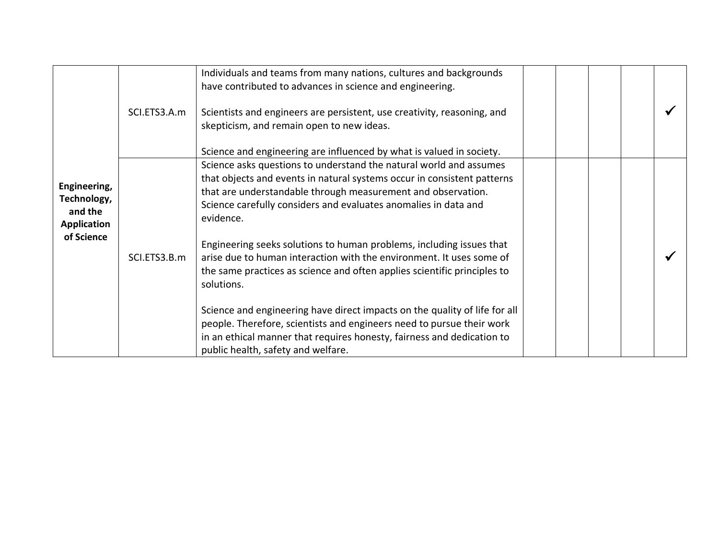|                                                              | SCI.ETS3.A.m | Individuals and teams from many nations, cultures and backgrounds<br>have contributed to advances in science and engineering.<br>Scientists and engineers are persistent, use creativity, reasoning, and                                                                                      |  |  |  |
|--------------------------------------------------------------|--------------|-----------------------------------------------------------------------------------------------------------------------------------------------------------------------------------------------------------------------------------------------------------------------------------------------|--|--|--|
|                                                              |              | skepticism, and remain open to new ideas.<br>Science and engineering are influenced by what is valued in society.                                                                                                                                                                             |  |  |  |
| Engineering,<br>Technology,<br>and the<br><b>Application</b> |              | Science asks questions to understand the natural world and assumes<br>that objects and events in natural systems occur in consistent patterns<br>that are understandable through measurement and observation.<br>Science carefully considers and evaluates anomalies in data and<br>evidence. |  |  |  |
| of Science                                                   | SCI.ETS3.B.m | Engineering seeks solutions to human problems, including issues that<br>arise due to human interaction with the environment. It uses some of<br>the same practices as science and often applies scientific principles to<br>solutions.                                                        |  |  |  |
|                                                              |              | Science and engineering have direct impacts on the quality of life for all<br>people. Therefore, scientists and engineers need to pursue their work<br>in an ethical manner that requires honesty, fairness and dedication to<br>public health, safety and welfare.                           |  |  |  |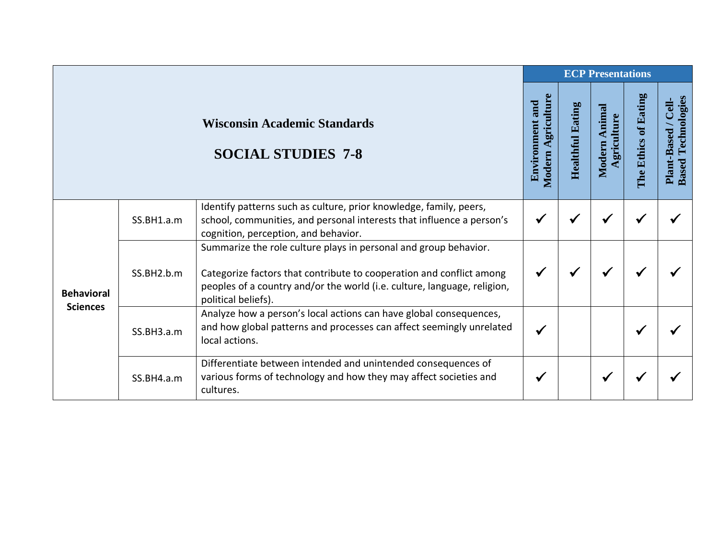|                                      |            |                                                                                                                                                                                                                                             | <b>ECP Presentations</b>                        |                         |                                 |                      |                                                     |  |
|--------------------------------------|------------|---------------------------------------------------------------------------------------------------------------------------------------------------------------------------------------------------------------------------------------------|-------------------------------------------------|-------------------------|---------------------------------|----------------------|-----------------------------------------------------|--|
|                                      |            | <b>Wisconsin Academic Standards</b><br><b>SOCIAL STUDIES 7-8</b>                                                                                                                                                                            | Agriculture<br><b>Environment and</b><br>Modern | <b>Healthful Eating</b> | Animal<br>Agriculture<br>Modern | The Ethics of Eating | Technologies<br>Plant-Based / Cell-<br><b>Based</b> |  |
| <b>Behavioral</b><br><b>Sciences</b> | SS.BH1.a.m | Identify patterns such as culture, prior knowledge, family, peers,<br>school, communities, and personal interests that influence a person's<br>cognition, perception, and behavior.                                                         | $\checkmark$                                    |                         |                                 |                      |                                                     |  |
|                                      | SS.BH2.b.m | Summarize the role culture plays in personal and group behavior.<br>Categorize factors that contribute to cooperation and conflict among<br>peoples of a country and/or the world (i.e. culture, language, religion,<br>political beliefs). | $\checkmark$                                    | $\checkmark$            | ✔                               |                      |                                                     |  |
|                                      | SS.BH3.a.m | Analyze how a person's local actions can have global consequences,<br>and how global patterns and processes can affect seemingly unrelated<br>local actions.                                                                                | $\checkmark$                                    |                         |                                 |                      |                                                     |  |
|                                      | SS.BH4.a.m | Differentiate between intended and unintended consequences of<br>various forms of technology and how they may affect societies and<br>cultures.                                                                                             | √                                               |                         | $\checkmark$                    |                      |                                                     |  |